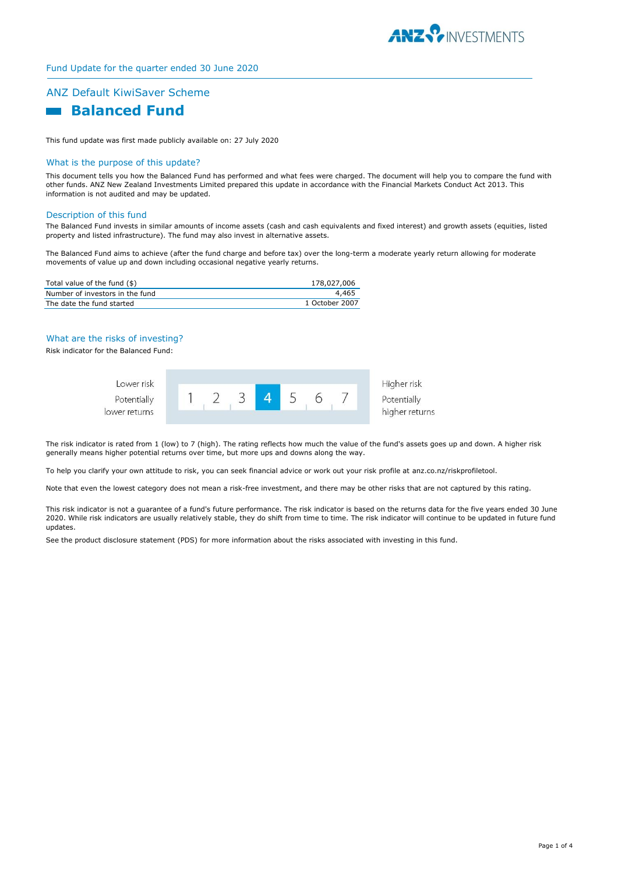

## Fund Update for the quarter ended 30 June 2020

## ANZ Default KiwiSaver Scheme

# **Ralanced Fund**

This fund update was first made publicly available on: 27 July 2020

#### What is the purpose of this update?

This document tells you how the Balanced Fund has performed and what fees were charged. The document will help you to compare the fund with other funds. ANZ New Zealand Investments Limited prepared this update in accordance with the Financial Markets Conduct Act 2013. This information is not audited and may be updated.

#### Description of this fund

The Balanced Fund invests in similar amounts of income assets (cash and cash equivalents and fixed interest) and growth assets (equities, listed property and listed infrastructure). The fund may also invest in alternative assets.

The Balanced Fund aims to achieve (after the fund charge and before tax) over the long-term a moderate yearly return allowing for moderate movements of value up and down including occasional negative yearly returns.

| Total value of the fund (\$)    | 178,027,006    |
|---------------------------------|----------------|
| Number of investors in the fund | 4,465          |
| The date the fund started       | 1 October 2007 |

#### What are the risks of investing?

Risk indicator for the Balanced Fund:



The risk indicator is rated from 1 (low) to 7 (high). The rating reflects how much the value of the fund's assets goes up and down. A higher risk generally means higher potential returns over time, but more ups and downs along the way.

To help you clarify your own attitude to risk, you can seek financial advice or work out your risk profile at anz.co.nz/riskprofiletool.

Note that even the lowest category does not mean a risk-free investment, and there may be other risks that are not captured by this rating.

This risk indicator is not a guarantee of a fund's future performance. The risk indicator is based on the returns data for the five years ended 30 June 2020. While risk indicators are usually relatively stable, they do shift from time to time. The risk indicator will continue to be updated in future fund updates.

See the product disclosure statement (PDS) for more information about the risks associated with investing in this fund.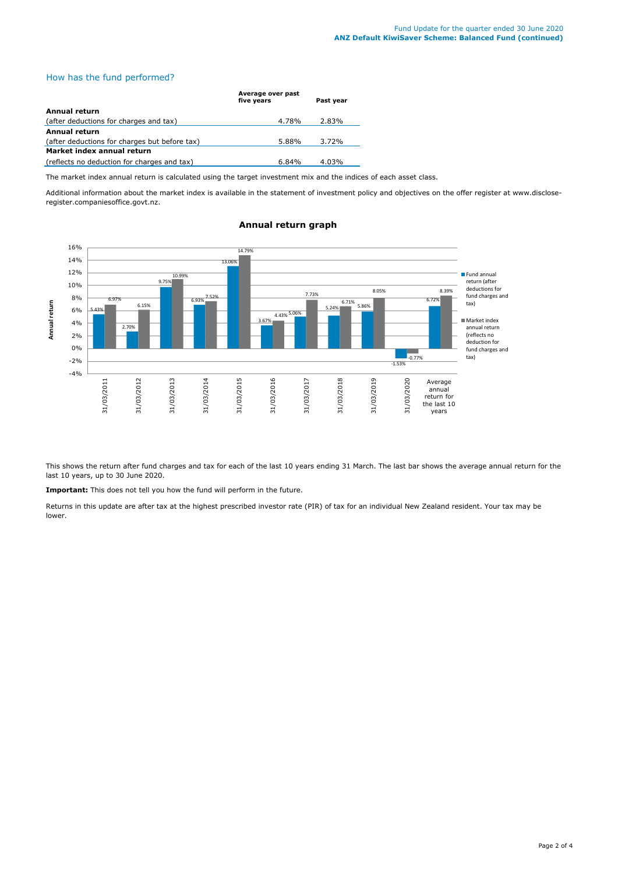## How has the fund performed?

|                                               | Average over past<br>five vears | Past vear |  |
|-----------------------------------------------|---------------------------------|-----------|--|
| Annual return                                 |                                 |           |  |
| (after deductions for charges and tax)        | 4.78%                           | 2.83%     |  |
| Annual return                                 |                                 |           |  |
| (after deductions for charges but before tax) | 5.88%                           | 3.72%     |  |
| Market index annual return                    |                                 |           |  |
| (reflects no deduction for charges and tax)   | 6.84%                           | 4.03%     |  |

The market index annual return is calculated using the target investment mix and the indices of each asset class.

Additional information about the market index is available in the statement of investment policy and objectives on the offer register at www.discloseregister.companiesoffice.govt.nz.



## **Annual return graph**

This shows the return after fund charges and tax for each of the last 10 years ending 31 March. The last bar shows the average annual return for the last 10 years, up to 30 June 2020.

**Important:** This does not tell you how the fund will perform in the future.

Returns in this update are after tax at the highest prescribed investor rate (PIR) of tax for an individual New Zealand resident. Your tax may be lower.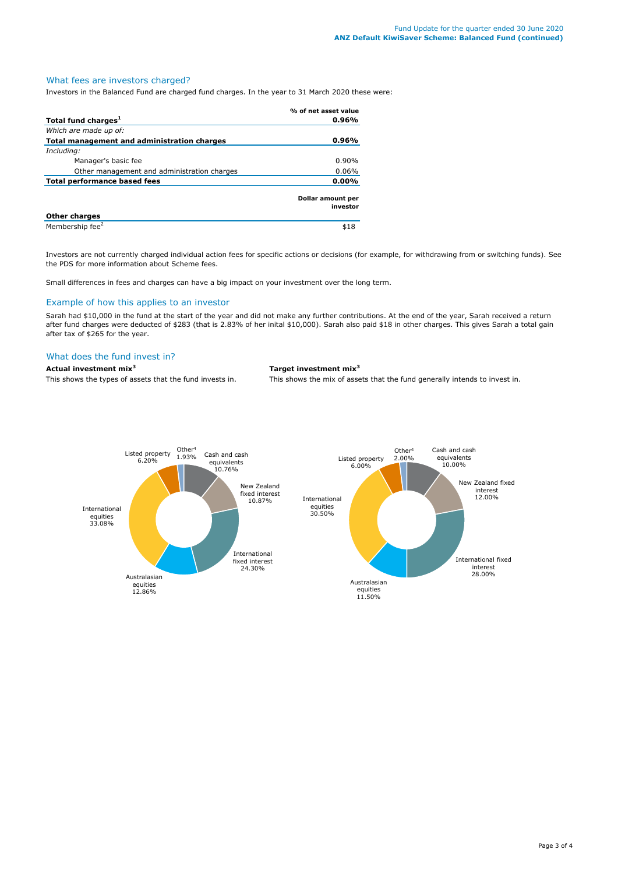### What fees are investors charged?

Investors in the Balanced Fund are charged fund charges. In the year to 31 March 2020 these were:

|                                                    | % of net asset value          |
|----------------------------------------------------|-------------------------------|
| Total fund charges <sup>1</sup>                    | 0.96%                         |
| Which are made up of:                              |                               |
| <b>Total management and administration charges</b> | 0.96%                         |
| Including:                                         |                               |
| Manager's basic fee                                | $0.90\%$                      |
| Other management and administration charges        | 0.06%                         |
| Total performance based fees                       | $0.00\%$                      |
|                                                    | Dollar amount per<br>investor |
| <b>Other charges</b>                               |                               |
| Membership fee <sup>2</sup>                        | \$18                          |

Investors are not currently charged individual action fees for specific actions or decisions (for example, for withdrawing from or switching funds). See the PDS for more information about Scheme fees.

Small differences in fees and charges can have a big impact on your investment over the long term.

#### Example of how this applies to an investor

Sarah had \$10,000 in the fund at the start of the year and did not make any further contributions. At the end of the year, Sarah received a return after fund charges were deducted of \$283 (that is 2.83% of her inital \$10,000). Sarah also paid \$18 in other charges. This gives Sarah a total gain after tax of \$265 for the year.

## What does the fund invest in?

## **Actual investment mix<sup>3</sup> Target investment mix<sup>3</sup>**

This shows the types of assets that the fund invests in. This shows the mix of assets that the fund generally intends to invest in.